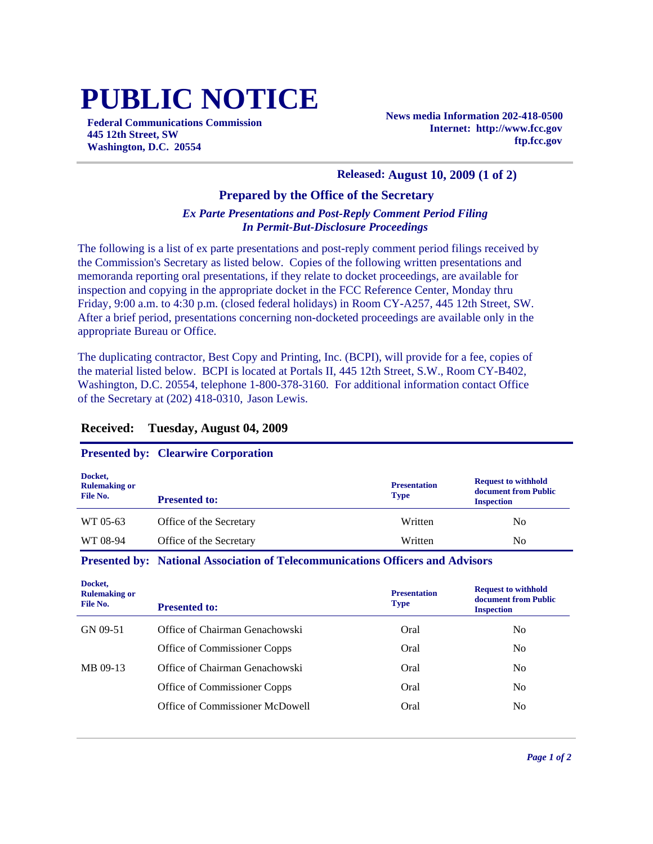# **PUBLIC NOTICE**

**Federal Communications Commission 445 12th Street, SW Washington, D.C. 20554**

**News media Information 202-418-0500 Internet: http://www.fcc.gov ftp.fcc.gov**

#### **Released: August 10, 2009 (1 of 2)**

#### **Prepared by the Office of the Secretary**

#### *Ex Parte Presentations and Post-Reply Comment Period Filing In Permit-But-Disclosure Proceedings*

The following is a list of ex parte presentations and post-reply comment period filings received by the Commission's Secretary as listed below. Copies of the following written presentations and memoranda reporting oral presentations, if they relate to docket proceedings, are available for inspection and copying in the appropriate docket in the FCC Reference Center, Monday thru Friday, 9:00 a.m. to 4:30 p.m. (closed federal holidays) in Room CY-A257, 445 12th Street, SW. After a brief period, presentations concerning non-docketed proceedings are available only in the appropriate Bureau or Office.

The duplicating contractor, Best Copy and Printing, Inc. (BCPI), will provide for a fee, copies of the material listed below. BCPI is located at Portals II, 445 12th Street, S.W., Room CY-B402, Washington, D.C. 20554, telephone 1-800-378-3160. For additional information contact Office of the Secretary at (202) 418-0310, Jason Lewis.

#### **Received: Tuesday, August 04, 2009**

#### **Presented by: Clearwire Corporation**

| Docket,<br><b>Rulemaking or</b><br>File No. | <b>Presented to:</b>    | <b>Presentation</b><br><b>Type</b> | <b>Request to withhold</b><br>document from Public<br><b>Inspection</b> |
|---------------------------------------------|-------------------------|------------------------------------|-------------------------------------------------------------------------|
| WT 05-63                                    | Office of the Secretary | Written                            | No                                                                      |
| WT 08-94                                    | Office of the Secretary | Written                            | No                                                                      |

#### **Presented by: National Association of Telecommunications Officers and Advisors**

| Docket,<br><b>Rulemaking or</b><br>File No. | <b>Presented to:</b>            | <b>Presentation</b><br><b>Type</b> | <b>Request to withhold</b><br>document from Public<br><b>Inspection</b> |
|---------------------------------------------|---------------------------------|------------------------------------|-------------------------------------------------------------------------|
| GN 09-51                                    | Office of Chairman Genachowski  | Oral                               | N <sub>0</sub>                                                          |
|                                             | Office of Commissioner Copps    | Oral                               | N <sub>0</sub>                                                          |
| MB 09-13                                    | Office of Chairman Genachowski  | Oral                               | N <sub>0</sub>                                                          |
|                                             | Office of Commissioner Copps    | Oral                               | N <sub>0</sub>                                                          |
|                                             | Office of Commissioner McDowell | Oral                               | N <sub>0</sub>                                                          |
|                                             |                                 |                                    |                                                                         |